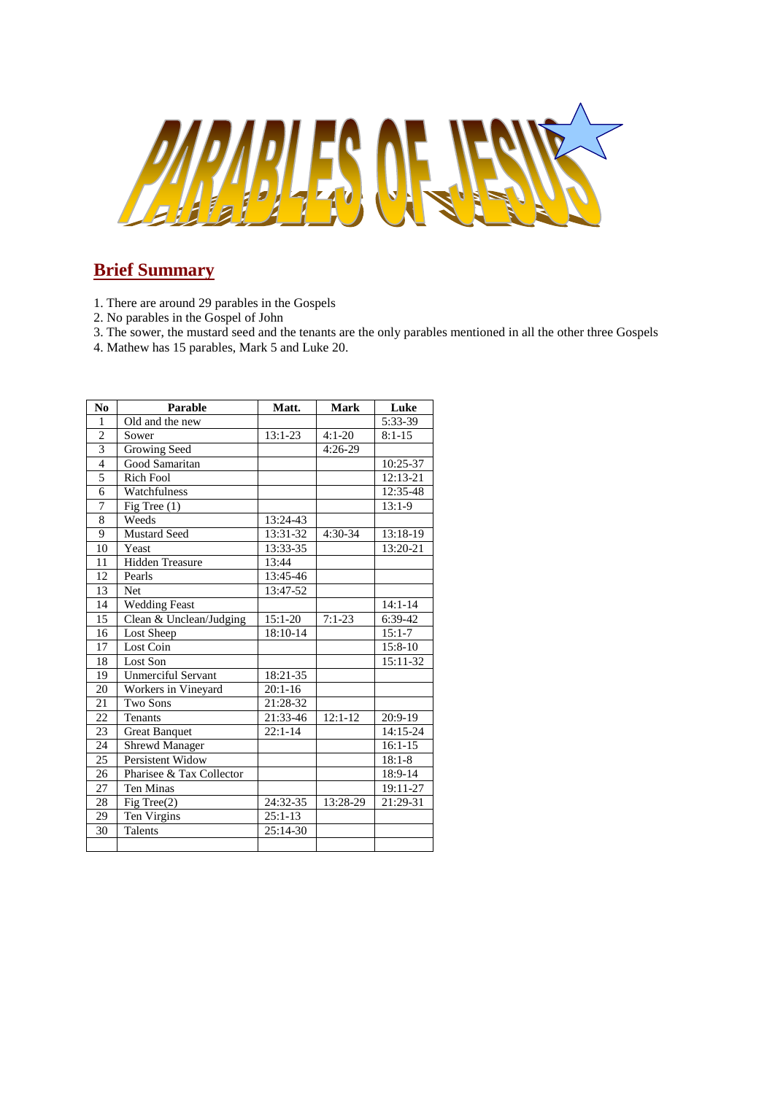

# **Brief Summary**

- 1. There are around 29 parables in the Gospels
- 2. No parables in the Gospel of John
- 3. The sower, the mustard seed and the tenants are the only parables mentioned in all the other three Gospels
- 4. Mathew has 15 parables, Mark 5 and Luke 20.

| N <sub>0</sub> | Parable                   | Matt.      | <b>Mark</b> | Luke        |
|----------------|---------------------------|------------|-------------|-------------|
| 1              | Old and the new           |            |             | 5:33-39     |
| $\overline{c}$ | Sower                     | $13:1-23$  | $4:1 - 20$  | $8:1-15$    |
| $\overline{3}$ | Growing Seed              |            | $4:26-29$   |             |
| $\overline{4}$ | Good Samaritan            |            |             | 10:25-37    |
| $\overline{5}$ | Rich Fool                 |            |             | 12:13-21    |
| 6              | Watchfulness              |            |             | 12:35-48    |
| 7              | Fig Tree $(1)$            |            |             | $13:1-9$    |
| 8              | Weeds                     | 13:24-43   |             |             |
| $\overline{9}$ | <b>Mustard Seed</b>       | 13:31-32   | $4:30-34$   | 13:18-19    |
| 10             | Yeast                     | 13:33-35   |             | 13:20-21    |
| 11             | <b>Hidden Treasure</b>    | 13:44      |             |             |
| 12             | Pearls                    | 13:45-46   |             |             |
| 13             | <b>Net</b>                | $13:47-52$ |             |             |
| 14             | <b>Wedding Feast</b>      |            |             | $14:1 - 14$ |
| 15             | Clean & Unclean/Judging   | $15:1-20$  | $7:1-23$    | 6:39-42     |
| 16             | Lost Sheep                | 18:10-14   |             | $15:1 - 7$  |
| 17             | Lost Coin                 |            |             | $15:8-10$   |
| 18             | Lost Son                  |            |             | 15:11-32    |
| 19             | <b>Unmerciful Servant</b> | 18:21-35   |             |             |
| 20             | Workers in Vineyard       | $20:1-16$  |             |             |
| 21             | Two Sons                  | 21:28-32   |             |             |
| 22             | <b>Tenants</b>            | 21:33-46   | $12:1 - 12$ | $20:9-19$   |
| 23             | <b>Great Banquet</b>      | $22:1-14$  |             | 14:15-24    |
| 24             | <b>Shrewd Manager</b>     |            |             | $16:1 - 15$ |
| 25             | Persistent Widow          |            |             | $18:1 - 8$  |
| 26             | Pharisee & Tax Collector  |            |             | 18:9-14     |
| 27             | Ten Minas                 |            |             | 19:11-27    |
| 28             | Fig Tree $(2)$            | 24:32-35   | 13:28-29    | 21:29-31    |
| 29             | Ten Virgins               | $25:1-13$  |             |             |
| 30             | <b>Talents</b>            | 25:14-30   |             |             |
|                |                           |            |             |             |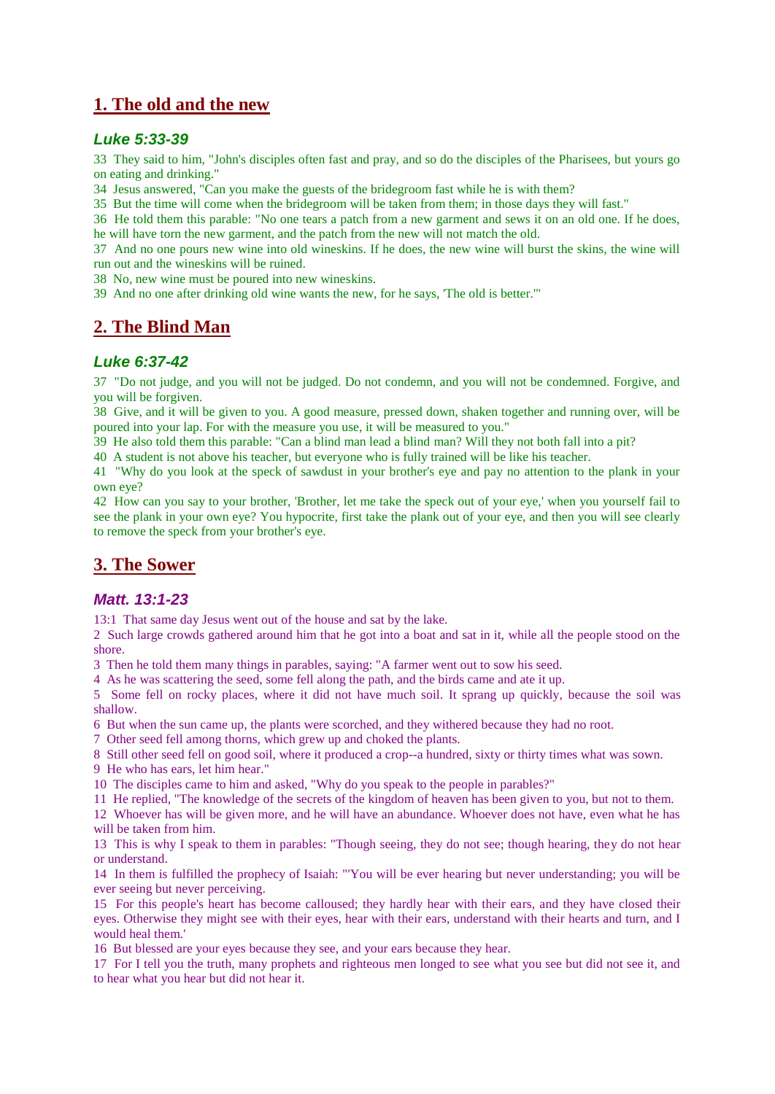## **1. The old and the new**

#### *Luke 5:33-39*

33 They said to him, "John's disciples often fast and pray, and so do the disciples of the Pharisees, but yours go on eating and drinking."

34 Jesus answered, "Can you make the guests of the bridegroom fast while he is with them?

35 But the time will come when the bridegroom will be taken from them; in those days they will fast."

36 He told them this parable: "No one tears a patch from a new garment and sews it on an old one. If he does, he will have torn the new garment, and the patch from the new will not match the old.

37 And no one pours new wine into old wineskins. If he does, the new wine will burst the skins, the wine will run out and the wineskins will be ruined.

38 No, new wine must be poured into new wineskins.

39 And no one after drinking old wine wants the new, for he says, 'The old is better.'"

## **2. The Blind Man**

### *Luke 6:37-42*

37 "Do not judge, and you will not be judged. Do not condemn, and you will not be condemned. Forgive, and you will be forgiven.

38 Give, and it will be given to you. A good measure, pressed down, shaken together and running over, will be poured into your lap. For with the measure you use, it will be measured to you."

39 He also told them this parable: "Can a blind man lead a blind man? Will they not both fall into a pit?

40 A student is not above his teacher, but everyone who is fully trained will be like his teacher.

41 "Why do you look at the speck of sawdust in your brother's eye and pay no attention to the plank in your own eye?

42 How can you say to your brother, 'Brother, let me take the speck out of your eye,' when you yourself fail to see the plank in your own eye? You hypocrite, first take the plank out of your eye, and then you will see clearly to remove the speck from your brother's eye.

## **3. The Sower**

### *Matt. 13:1-23*

13:1 That same day Jesus went out of the house and sat by the lake.

2 Such large crowds gathered around him that he got into a boat and sat in it, while all the people stood on the shore.

3 Then he told them many things in parables, saying: "A farmer went out to sow his seed.

4 As he was scattering the seed, some fell along the path, and the birds came and ate it up.

5 Some fell on rocky places, where it did not have much soil. It sprang up quickly, because the soil was shallow.

6 But when the sun came up, the plants were scorched, and they withered because they had no root.

7 Other seed fell among thorns, which grew up and choked the plants.

8 Still other seed fell on good soil, where it produced a crop--a hundred, sixty or thirty times what was sown.

9 He who has ears, let him hear."

10 The disciples came to him and asked, "Why do you speak to the people in parables?"

11 He replied, "The knowledge of the secrets of the kingdom of heaven has been given to you, but not to them.

12 Whoever has will be given more, and he will have an abundance. Whoever does not have, even what he has will be taken from him.

13 This is why I speak to them in parables: "Though seeing, they do not see; though hearing, they do not hear or understand.

14 In them is fulfilled the prophecy of Isaiah: "'You will be ever hearing but never understanding; you will be ever seeing but never perceiving.

15 For this people's heart has become calloused; they hardly hear with their ears, and they have closed their eyes. Otherwise they might see with their eyes, hear with their ears, understand with their hearts and turn, and I would heal them.'

16 But blessed are your eyes because they see, and your ears because they hear.

17 For I tell you the truth, many prophets and righteous men longed to see what you see but did not see it, and to hear what you hear but did not hear it.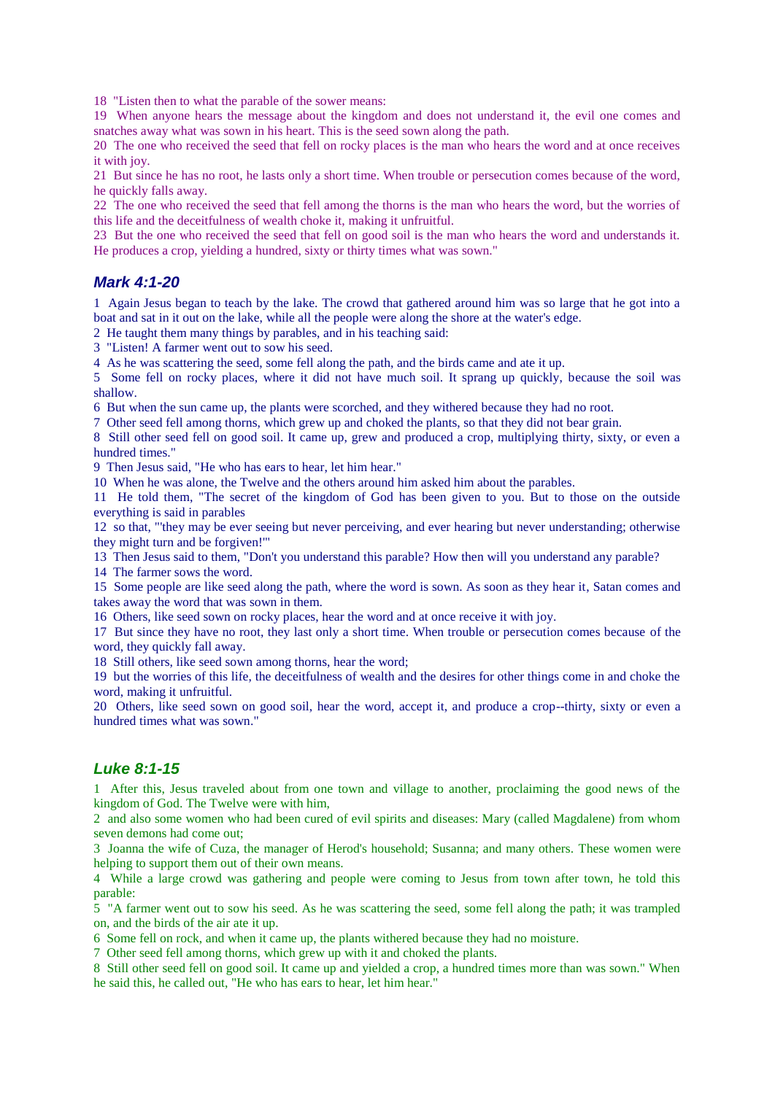18 "Listen then to what the parable of the sower means:

19 When anyone hears the message about the kingdom and does not understand it, the evil one comes and snatches away what was sown in his heart. This is the seed sown along the path.

20 The one who received the seed that fell on rocky places is the man who hears the word and at once receives it with joy.

21 But since he has no root, he lasts only a short time. When trouble or persecution comes because of the word, he quickly falls away.

22 The one who received the seed that fell among the thorns is the man who hears the word, but the worries of this life and the deceitfulness of wealth choke it, making it unfruitful.

23 But the one who received the seed that fell on good soil is the man who hears the word and understands it. He produces a crop, yielding a hundred, sixty or thirty times what was sown."

#### *Mark 4:1-20*

1 Again Jesus began to teach by the lake. The crowd that gathered around him was so large that he got into a boat and sat in it out on the lake, while all the people were along the shore at the water's edge.

2 He taught them many things by parables, and in his teaching said:

3 "Listen! A farmer went out to sow his seed.

4 As he was scattering the seed, some fell along the path, and the birds came and ate it up.

5 Some fell on rocky places, where it did not have much soil. It sprang up quickly, because the soil was shallow.

6 But when the sun came up, the plants were scorched, and they withered because they had no root.

7 Other seed fell among thorns, which grew up and choked the plants, so that they did not bear grain.

8 Still other seed fell on good soil. It came up, grew and produced a crop, multiplying thirty, sixty, or even a hundred times."

9 Then Jesus said, "He who has ears to hear, let him hear."

10 When he was alone, the Twelve and the others around him asked him about the parables.

11 He told them, "The secret of the kingdom of God has been given to you. But to those on the outside everything is said in parables

12 so that, "'they may be ever seeing but never perceiving, and ever hearing but never understanding; otherwise they might turn and be forgiven!'"

13 Then Jesus said to them, "Don't you understand this parable? How then will you understand any parable?

14 The farmer sows the word.

15 Some people are like seed along the path, where the word is sown. As soon as they hear it, Satan comes and takes away the word that was sown in them.

16 Others, like seed sown on rocky places, hear the word and at once receive it with joy.

17 But since they have no root, they last only a short time. When trouble or persecution comes because of the word, they quickly fall away.

18 Still others, like seed sown among thorns, hear the word;

19 but the worries of this life, the deceitfulness of wealth and the desires for other things come in and choke the word, making it unfruitful.

20 Others, like seed sown on good soil, hear the word, accept it, and produce a crop--thirty, sixty or even a hundred times what was sown."

#### *Luke 8:1-15*

1 After this, Jesus traveled about from one town and village to another, proclaiming the good news of the kingdom of God. The Twelve were with him,

2 and also some women who had been cured of evil spirits and diseases: Mary (called Magdalene) from whom seven demons had come out;

3 Joanna the wife of Cuza, the manager of Herod's household; Susanna; and many others. These women were helping to support them out of their own means.

4 While a large crowd was gathering and people were coming to Jesus from town after town, he told this parable:

5 "A farmer went out to sow his seed. As he was scattering the seed, some fell along the path; it was trampled on, and the birds of the air ate it up.

6 Some fell on rock, and when it came up, the plants withered because they had no moisture.

7 Other seed fell among thorns, which grew up with it and choked the plants.

8 Still other seed fell on good soil. It came up and yielded a crop, a hundred times more than was sown." When he said this, he called out, "He who has ears to hear, let him hear."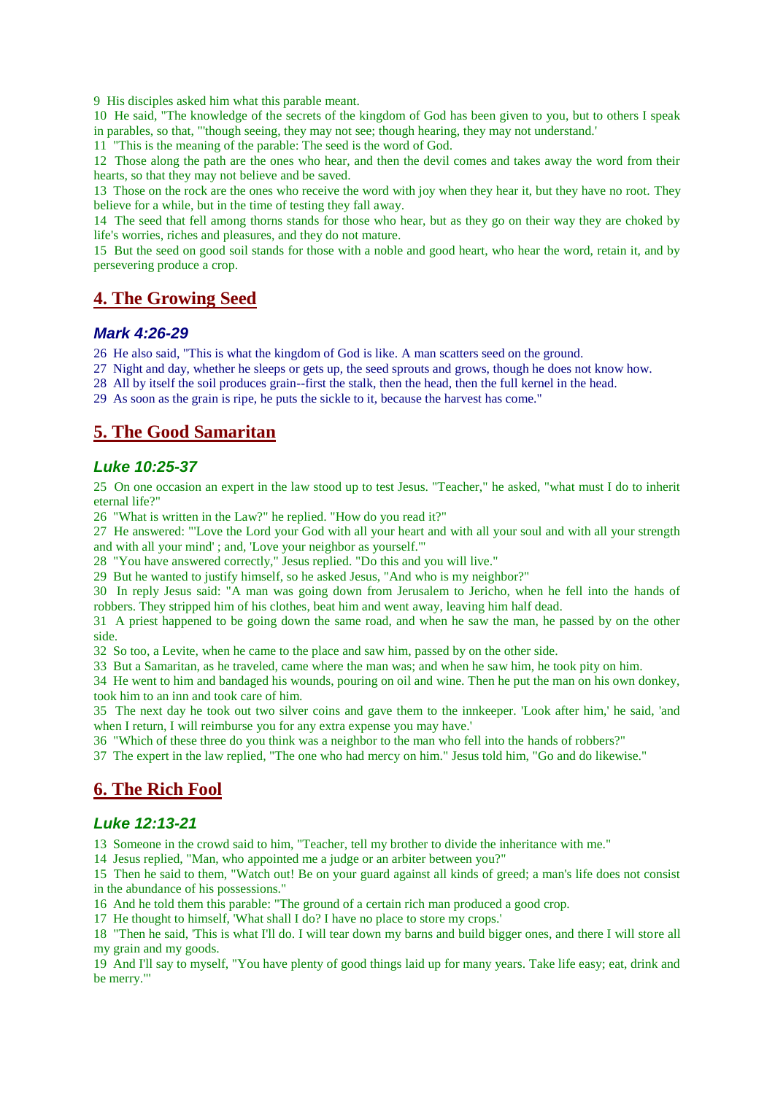9 His disciples asked him what this parable meant.

10 He said, "The knowledge of the secrets of the kingdom of God has been given to you, but to others I speak in parables, so that, "'though seeing, they may not see; though hearing, they may not understand.'

11 "This is the meaning of the parable: The seed is the word of God.

12 Those along the path are the ones who hear, and then the devil comes and takes away the word from their hearts, so that they may not believe and be saved.

13 Those on the rock are the ones who receive the word with joy when they hear it, but they have no root. They believe for a while, but in the time of testing they fall away.

14 The seed that fell among thorns stands for those who hear, but as they go on their way they are choked by life's worries, riches and pleasures, and they do not mature.

15 But the seed on good soil stands for those with a noble and good heart, who hear the word, retain it, and by persevering produce a crop.

### **4. The Growing Seed**

#### *Mark 4:26-29*

26 He also said, "This is what the kingdom of God is like. A man scatters seed on the ground.

27 Night and day, whether he sleeps or gets up, the seed sprouts and grows, though he does not know how.

28 All by itself the soil produces grain--first the stalk, then the head, then the full kernel in the head.

29 As soon as the grain is ripe, he puts the sickle to it, because the harvest has come."

## **5. The Good Samaritan**

### *Luke 10:25-37*

25 On one occasion an expert in the law stood up to test Jesus. "Teacher," he asked, "what must I do to inherit eternal life?"

26 "What is written in the Law?" he replied. "How do you read it?"

27 He answered: "'Love the Lord your God with all your heart and with all your soul and with all your strength and with all your mind' ; and, 'Love your neighbor as yourself.'"

28 "You have answered correctly," Jesus replied. "Do this and you will live."

29 But he wanted to justify himself, so he asked Jesus, "And who is my neighbor?"

30 In reply Jesus said: "A man was going down from Jerusalem to Jericho, when he fell into the hands of robbers. They stripped him of his clothes, beat him and went away, leaving him half dead.

31 A priest happened to be going down the same road, and when he saw the man, he passed by on the other side.

32 So too, a Levite, when he came to the place and saw him, passed by on the other side.

33 But a Samaritan, as he traveled, came where the man was; and when he saw him, he took pity on him.

34 He went to him and bandaged his wounds, pouring on oil and wine. Then he put the man on his own donkey, took him to an inn and took care of him.

35 The next day he took out two silver coins and gave them to the innkeeper. 'Look after him,' he said, 'and when I return, I will reimburse you for any extra expense you may have.'

36 "Which of these three do you think was a neighbor to the man who fell into the hands of robbers?"

37 The expert in the law replied, "The one who had mercy on him." Jesus told him, "Go and do likewise."

### **6. The Rich Fool**

#### *Luke 12:13-21*

13 Someone in the crowd said to him, "Teacher, tell my brother to divide the inheritance with me."

14 Jesus replied, "Man, who appointed me a judge or an arbiter between you?"

15 Then he said to them, "Watch out! Be on your guard against all kinds of greed; a man's life does not consist in the abundance of his possessions."

16 And he told them this parable: "The ground of a certain rich man produced a good crop.

17 He thought to himself, 'What shall I do? I have no place to store my crops.'

18 "Then he said, 'This is what I'll do. I will tear down my barns and build bigger ones, and there I will store all my grain and my goods.

19 And I'll say to myself, "You have plenty of good things laid up for many years. Take life easy; eat, drink and be merry."'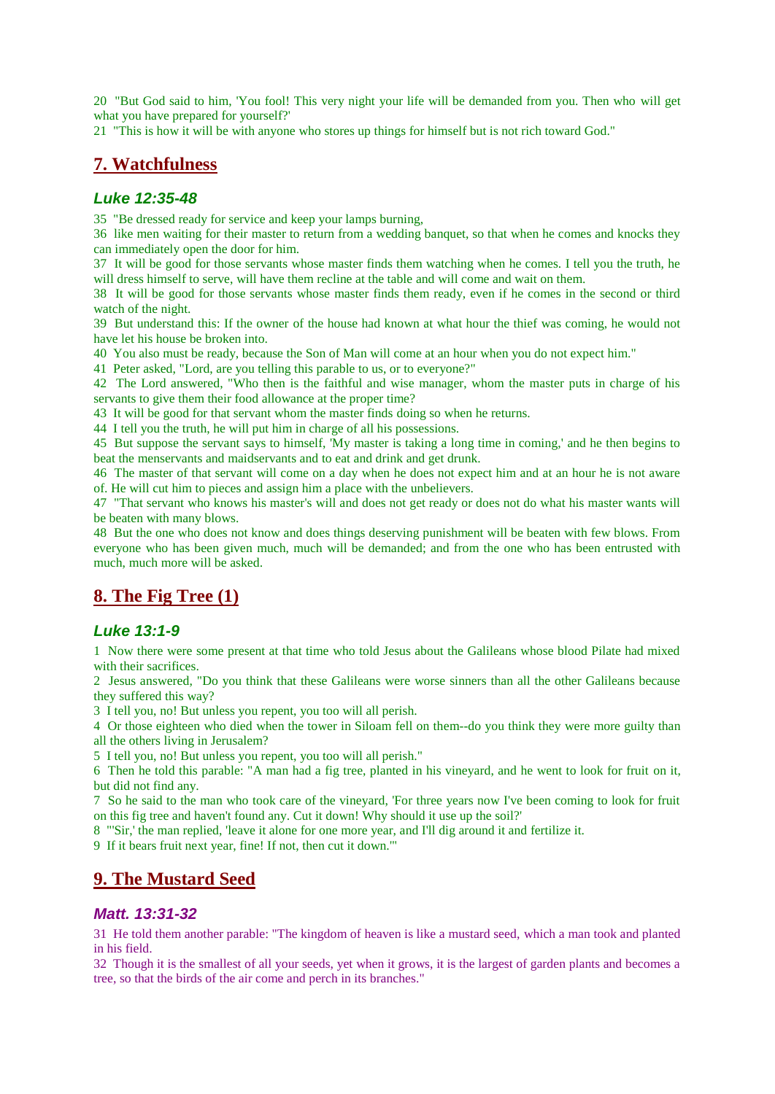20 "But God said to him, 'You fool! This very night your life will be demanded from you. Then who will get what you have prepared for yourself?'

21 "This is how it will be with anyone who stores up things for himself but is not rich toward God."

## **7. Watchfulness**

#### *Luke 12:35-48*

35 "Be dressed ready for service and keep your lamps burning,

36 like men waiting for their master to return from a wedding banquet, so that when he comes and knocks they can immediately open the door for him.

37 It will be good for those servants whose master finds them watching when he comes. I tell you the truth, he will dress himself to serve, will have them recline at the table and will come and wait on them.

38 It will be good for those servants whose master finds them ready, even if he comes in the second or third watch of the night.

39 But understand this: If the owner of the house had known at what hour the thief was coming, he would not have let his house be broken into.

40 You also must be ready, because the Son of Man will come at an hour when you do not expect him."

41 Peter asked, "Lord, are you telling this parable to us, or to everyone?"

42 The Lord answered, "Who then is the faithful and wise manager, whom the master puts in charge of his servants to give them their food allowance at the proper time?

43 It will be good for that servant whom the master finds doing so when he returns.

44 I tell you the truth, he will put him in charge of all his possessions.

45 But suppose the servant says to himself, 'My master is taking a long time in coming,' and he then begins to beat the menservants and maidservants and to eat and drink and get drunk.

46 The master of that servant will come on a day when he does not expect him and at an hour he is not aware of. He will cut him to pieces and assign him a place with the unbelievers.

47 "That servant who knows his master's will and does not get ready or does not do what his master wants will be beaten with many blows.

48 But the one who does not know and does things deserving punishment will be beaten with few blows. From everyone who has been given much, much will be demanded; and from the one who has been entrusted with much, much more will be asked.

## **8. The Fig Tree (1)**

#### *Luke 13:1-9*

1 Now there were some present at that time who told Jesus about the Galileans whose blood Pilate had mixed with their sacrifices.

2 Jesus answered, "Do you think that these Galileans were worse sinners than all the other Galileans because they suffered this way?

3 I tell you, no! But unless you repent, you too will all perish.

4 Or those eighteen who died when the tower in Siloam fell on them--do you think they were more guilty than all the others living in Jerusalem?

5 I tell you, no! But unless you repent, you too will all perish."

6 Then he told this parable: "A man had a fig tree, planted in his vineyard, and he went to look for fruit on it, but did not find any.

7 So he said to the man who took care of the vineyard, 'For three years now I've been coming to look for fruit on this fig tree and haven't found any. Cut it down! Why should it use up the soil?'

8 "'Sir,' the man replied, 'leave it alone for one more year, and I'll dig around it and fertilize it.

9 If it bears fruit next year, fine! If not, then cut it down.'"

### **9. The Mustard Seed**

#### *Matt. 13:31-32*

31 He told them another parable: "The kingdom of heaven is like a mustard seed, which a man took and planted in his field.

32 Though it is the smallest of all your seeds, yet when it grows, it is the largest of garden plants and becomes a tree, so that the birds of the air come and perch in its branches."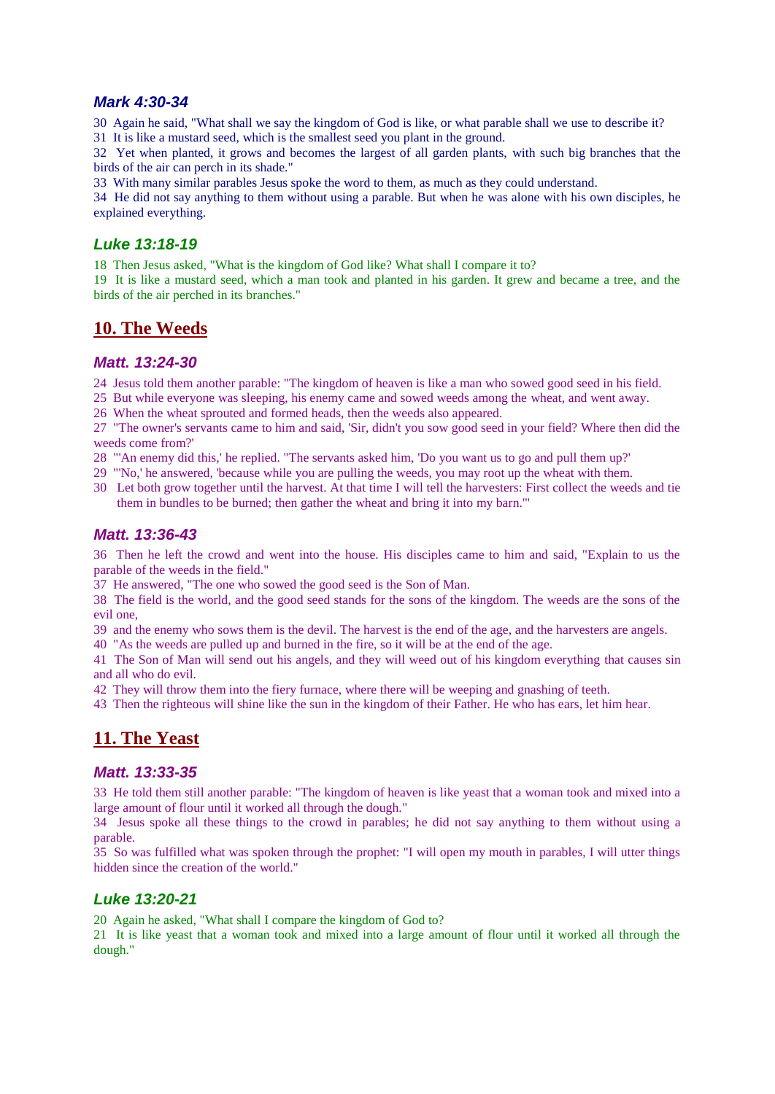#### *Mark 4:30-34*

30 Again he said, "What shall we say the kingdom of God is like, or what parable shall we use to describe it? 31 It is like a mustard seed, which is the smallest seed you plant in the ground.

32 Yet when planted, it grows and becomes the largest of all garden plants, with such big branches that the birds of the air can perch in its shade."

33 With many similar parables Jesus spoke the word to them, as much as they could understand.

34 He did not say anything to them without using a parable. But when he was alone with his own disciples, he explained everything.

#### *Luke 13:18-19*

18 Then Jesus asked, "What is the kingdom of God like? What shall I compare it to?

19 It is like a mustard seed, which a man took and planted in his garden. It grew and became a tree, and the birds of the air perched in its branches."

### **10. The Weeds**

### *Matt. 13:24-30*

24 Jesus told them another parable: "The kingdom of heaven is like a man who sowed good seed in his field.

25 But while everyone was sleeping, his enemy came and sowed weeds among the wheat, and went away.

26 When the wheat sprouted and formed heads, then the weeds also appeared.

27 "The owner's servants came to him and said, 'Sir, didn't you sow good seed in your field? Where then did the weeds come from?'

28 "'An enemy did this,' he replied. "The servants asked him, 'Do you want us to go and pull them up?'

- 29 "'No,' he answered, 'because while you are pulling the weeds, you may root up the wheat with them.
- 30 Let both grow together until the harvest. At that time I will tell the harvesters: First collect the weeds and tie them in bundles to be burned; then gather the wheat and bring it into my barn.'"

### *Matt. 13:36-43*

36 Then he left the crowd and went into the house. His disciples came to him and said, "Explain to us the parable of the weeds in the field."

37 He answered, "The one who sowed the good seed is the Son of Man.

38 The field is the world, and the good seed stands for the sons of the kingdom. The weeds are the sons of the evil one,

39 and the enemy who sows them is the devil. The harvest is the end of the age, and the harvesters are angels.

40 "As the weeds are pulled up and burned in the fire, so it will be at the end of the age.

41 The Son of Man will send out his angels, and they will weed out of his kingdom everything that causes sin and all who do evil.

42 They will throw them into the fiery furnace, where there will be weeping and gnashing of teeth.

43 Then the righteous will shine like the sun in the kingdom of their Father. He who has ears, let him hear.

## **11. The Yeast**

### *Matt. 13:33-35*

33 He told them still another parable: "The kingdom of heaven is like yeast that a woman took and mixed into a large amount of flour until it worked all through the dough."

34 Jesus spoke all these things to the crowd in parables; he did not say anything to them without using a parable.

35 So was fulfilled what was spoken through the prophet: "I will open my mouth in parables, I will utter things hidden since the creation of the world."

### *Luke 13:20-21*

20 Again he asked, "What shall I compare the kingdom of God to?

21 It is like yeast that a woman took and mixed into a large amount of flour until it worked all through the dough."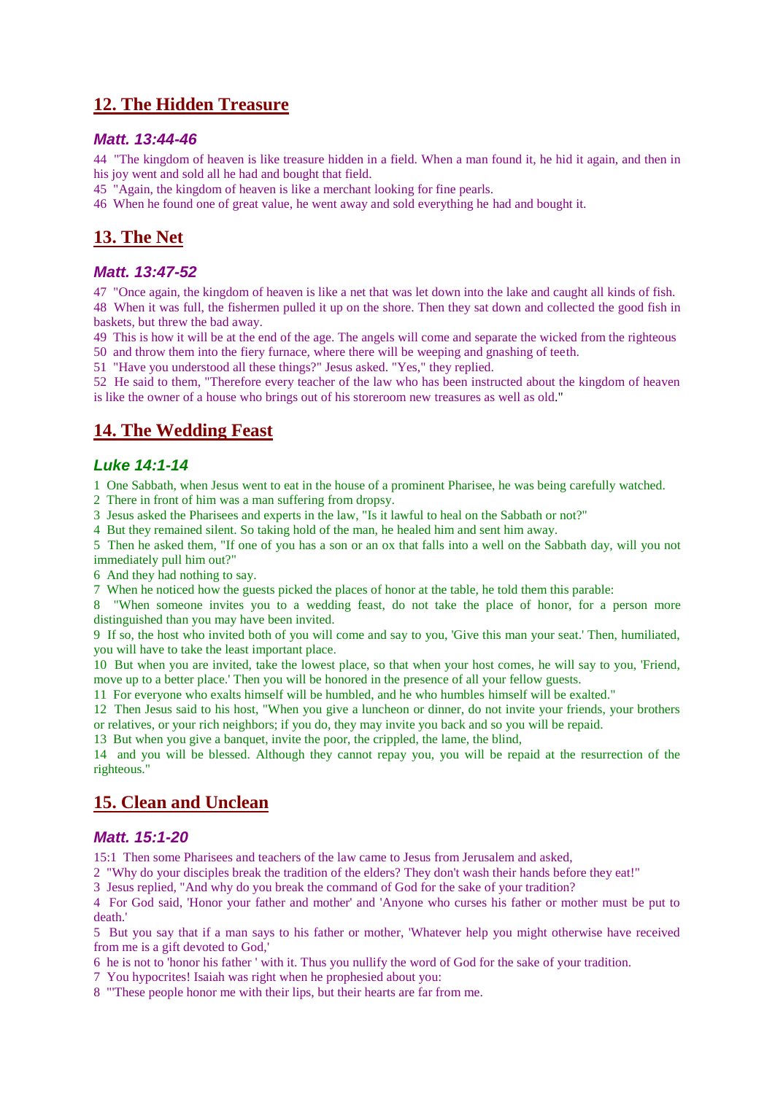## **12. The Hidden Treasure**

#### *Matt. 13:44-46*

44 "The kingdom of heaven is like treasure hidden in a field. When a man found it, he hid it again, and then in his joy went and sold all he had and bought that field.

45 "Again, the kingdom of heaven is like a merchant looking for fine pearls.

46 When he found one of great value, he went away and sold everything he had and bought it.

## **13. The Net**

#### *Matt. 13:47-52*

47 "Once again, the kingdom of heaven is like a net that was let down into the lake and caught all kinds of fish. 48 When it was full, the fishermen pulled it up on the shore. Then they sat down and collected the good fish in baskets, but threw the bad away.

49 This is how it will be at the end of the age. The angels will come and separate the wicked from the righteous 50 and throw them into the fiery furnace, where there will be weeping and gnashing of teeth.

51 "Have you understood all these things?" Jesus asked. "Yes," they replied.

52 He said to them, "Therefore every teacher of the law who has been instructed about the kingdom of heaven is like the owner of a house who brings out of his storeroom new treasures as well as old."

## **14. The Wedding Feast**

### *Luke 14:1-14*

1 One Sabbath, when Jesus went to eat in the house of a prominent Pharisee, he was being carefully watched.

2 There in front of him was a man suffering from dropsy.

3 Jesus asked the Pharisees and experts in the law, "Is it lawful to heal on the Sabbath or not?"

4 But they remained silent. So taking hold of the man, he healed him and sent him away.

5 Then he asked them, "If one of you has a son or an ox that falls into a well on the Sabbath day, will you not immediately pull him out?"

6 And they had nothing to say.

7 When he noticed how the guests picked the places of honor at the table, he told them this parable:

8 "When someone invites you to a wedding feast, do not take the place of honor, for a person more distinguished than you may have been invited.

9 If so, the host who invited both of you will come and say to you, 'Give this man your seat.' Then, humiliated, you will have to take the least important place.

10 But when you are invited, take the lowest place, so that when your host comes, he will say to you, 'Friend, move up to a better place.' Then you will be honored in the presence of all your fellow guests.

11 For everyone who exalts himself will be humbled, and he who humbles himself will be exalted."

12 Then Jesus said to his host, "When you give a luncheon or dinner, do not invite your friends, your brothers or relatives, or your rich neighbors; if you do, they may invite you back and so you will be repaid.

13 But when you give a banquet, invite the poor, the crippled, the lame, the blind,

14 and you will be blessed. Although they cannot repay you, you will be repaid at the resurrection of the righteous."

## **15. Clean and Unclean**

#### *Matt. 15:1-20*

15:1 Then some Pharisees and teachers of the law came to Jesus from Jerusalem and asked,

2 "Why do your disciples break the tradition of the elders? They don't wash their hands before they eat!"

3 Jesus replied, "And why do you break the command of God for the sake of your tradition?

4 For God said, 'Honor your father and mother' and 'Anyone who curses his father or mother must be put to death.'

5 But you say that if a man says to his father or mother, 'Whatever help you might otherwise have received from me is a gift devoted to God,'

6 he is not to 'honor his father ' with it. Thus you nullify the word of God for the sake of your tradition.

7 You hypocrites! Isaiah was right when he prophesied about you:

8 "'These people honor me with their lips, but their hearts are far from me.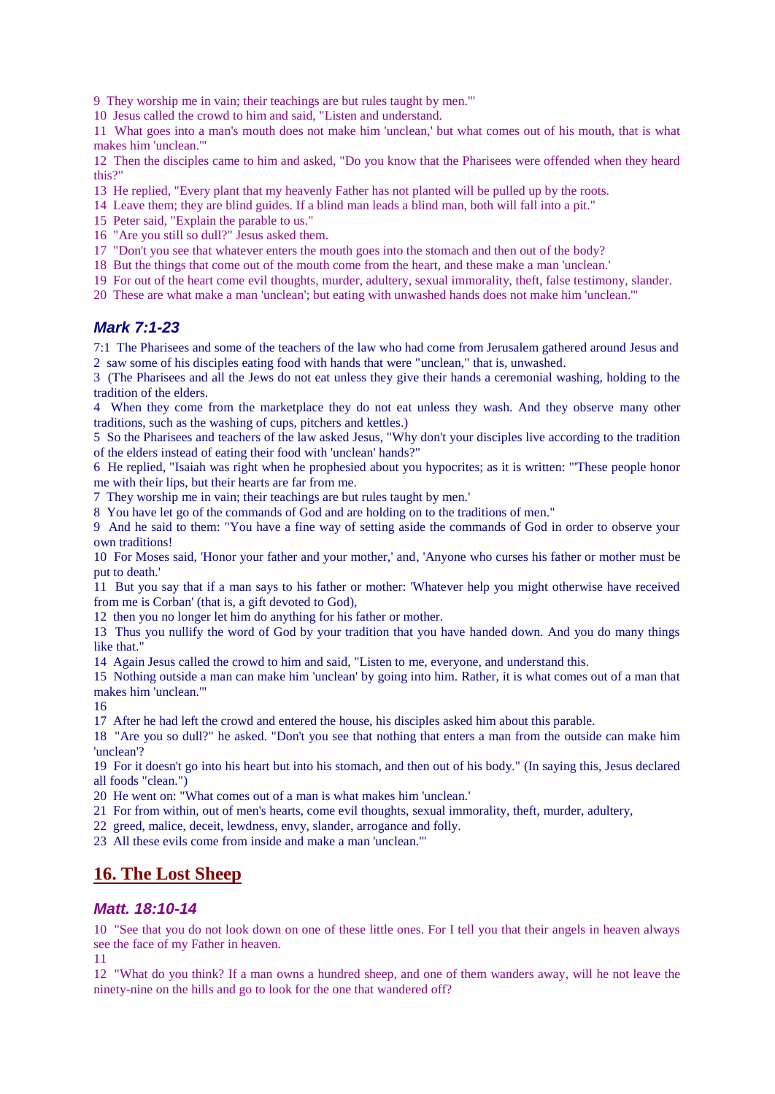9 They worship me in vain; their teachings are but rules taught by men.'"

10 Jesus called the crowd to him and said, "Listen and understand.

11 What goes into a man's mouth does not make him 'unclean,' but what comes out of his mouth, that is what makes him 'unclean.'"

12 Then the disciples came to him and asked, "Do you know that the Pharisees were offended when they heard this?"

- 13 He replied, "Every plant that my heavenly Father has not planted will be pulled up by the roots.
- 14 Leave them; they are blind guides. If a blind man leads a blind man, both will fall into a pit."
- 15 Peter said, "Explain the parable to us."
- 16 "Are you still so dull?" Jesus asked them.
- 17 "Don't you see that whatever enters the mouth goes into the stomach and then out of the body?
- 18 But the things that come out of the mouth come from the heart, and these make a man 'unclean.'
- 19 For out of the heart come evil thoughts, murder, adultery, sexual immorality, theft, false testimony, slander.
- 20 These are what make a man 'unclean'; but eating with unwashed hands does not make him 'unclean.'"

### *Mark 7:1-23*

7:1 The Pharisees and some of the teachers of the law who had come from Jerusalem gathered around Jesus and 2 saw some of his disciples eating food with hands that were "unclean," that is, unwashed.

3 (The Pharisees and all the Jews do not eat unless they give their hands a ceremonial washing, holding to the tradition of the elders.

4 When they come from the marketplace they do not eat unless they wash. And they observe many other traditions, such as the washing of cups, pitchers and kettles.)

5 So the Pharisees and teachers of the law asked Jesus, "Why don't your disciples live according to the tradition of the elders instead of eating their food with 'unclean' hands?"

6 He replied, "Isaiah was right when he prophesied about you hypocrites; as it is written: "'These people honor me with their lips, but their hearts are far from me.

7 They worship me in vain; their teachings are but rules taught by men.'

8 You have let go of the commands of God and are holding on to the traditions of men."

9 And he said to them: "You have a fine way of setting aside the commands of God in order to observe your own traditions!

10 For Moses said, 'Honor your father and your mother,' and, 'Anyone who curses his father or mother must be put to death.'

11 But you say that if a man says to his father or mother: 'Whatever help you might otherwise have received from me is Corban' (that is, a gift devoted to God),

12 then you no longer let him do anything for his father or mother.

13 Thus you nullify the word of God by your tradition that you have handed down. And you do many things like that."

14 Again Jesus called the crowd to him and said, "Listen to me, everyone, and understand this.

15 Nothing outside a man can make him 'unclean' by going into him. Rather, it is what comes out of a man that makes him 'unclean.'"

16

17 After he had left the crowd and entered the house, his disciples asked him about this parable.

18 "Are you so dull?" he asked. "Don't you see that nothing that enters a man from the outside can make him 'unclean'?

19 For it doesn't go into his heart but into his stomach, and then out of his body." (In saying this, Jesus declared all foods "clean.")

20 He went on: "What comes out of a man is what makes him 'unclean.'

21 For from within, out of men's hearts, come evil thoughts, sexual immorality, theft, murder, adultery,

22 greed, malice, deceit, lewdness, envy, slander, arrogance and folly.

23 All these evils come from inside and make a man 'unclean.'"

## **16. The Lost Sheep**

#### *Matt. 18:10-14*

10 "See that you do not look down on one of these little ones. For I tell you that their angels in heaven always see the face of my Father in heaven.

11

12 "What do you think? If a man owns a hundred sheep, and one of them wanders away, will he not leave the ninety-nine on the hills and go to look for the one that wandered off?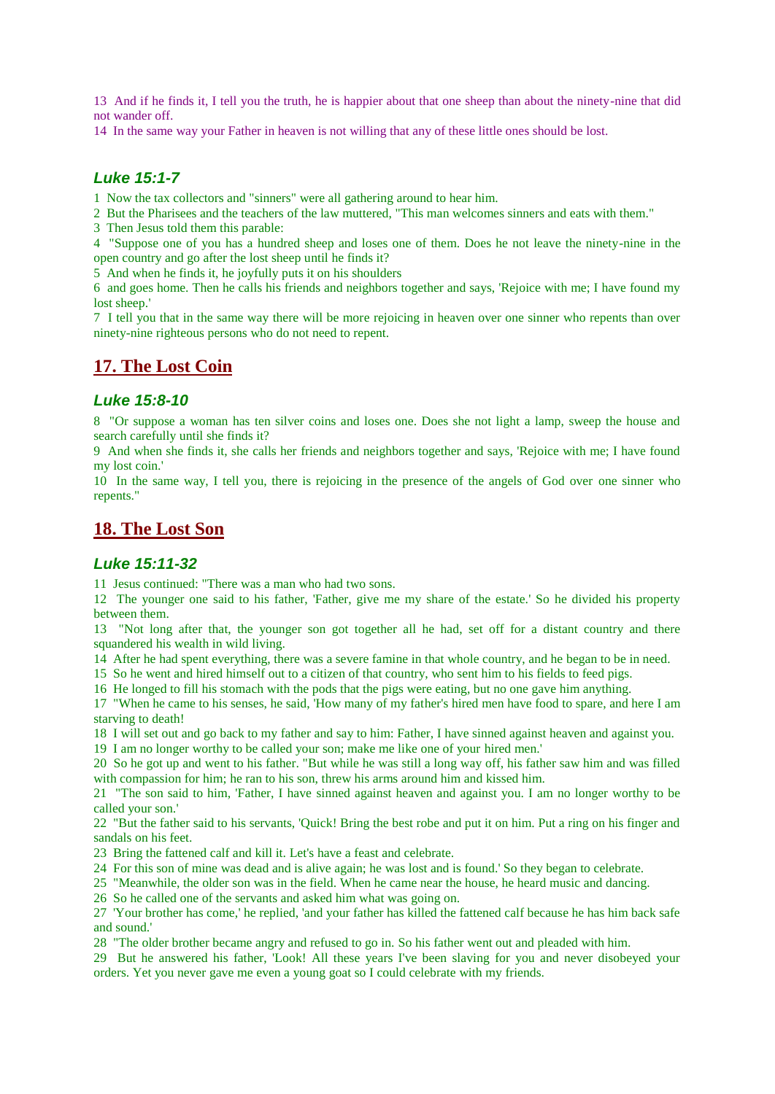13 And if he finds it, I tell you the truth, he is happier about that one sheep than about the ninety-nine that did not wander off.

14 In the same way your Father in heaven is not willing that any of these little ones should be lost.

### *Luke 15:1-7*

1 Now the tax collectors and "sinners" were all gathering around to hear him.

2 But the Pharisees and the teachers of the law muttered, "This man welcomes sinners and eats with them."

3 Then Jesus told them this parable:

4 "Suppose one of you has a hundred sheep and loses one of them. Does he not leave the ninety-nine in the open country and go after the lost sheep until he finds it?

5 And when he finds it, he joyfully puts it on his shoulders

6 and goes home. Then he calls his friends and neighbors together and says, 'Rejoice with me; I have found my lost sheep.'

7 I tell you that in the same way there will be more rejoicing in heaven over one sinner who repents than over ninety-nine righteous persons who do not need to repent.

### **17. The Lost Coin**

#### *Luke 15:8-10*

8 "Or suppose a woman has ten silver coins and loses one. Does she not light a lamp, sweep the house and search carefully until she finds it?

9 And when she finds it, she calls her friends and neighbors together and says, 'Rejoice with me; I have found my lost coin.'

10 In the same way, I tell you, there is rejoicing in the presence of the angels of God over one sinner who repents."

### **18. The Lost Son**

#### *Luke 15:11-32*

11 Jesus continued: "There was a man who had two sons.

12 The younger one said to his father, 'Father, give me my share of the estate.' So he divided his property between them.

13 "Not long after that, the younger son got together all he had, set off for a distant country and there squandered his wealth in wild living.

14 After he had spent everything, there was a severe famine in that whole country, and he began to be in need.

15 So he went and hired himself out to a citizen of that country, who sent him to his fields to feed pigs.

16 He longed to fill his stomach with the pods that the pigs were eating, but no one gave him anything.

17 "When he came to his senses, he said, 'How many of my father's hired men have food to spare, and here I am starving to death!

18 I will set out and go back to my father and say to him: Father, I have sinned against heaven and against you.

19 I am no longer worthy to be called your son; make me like one of your hired men.'

20 So he got up and went to his father. "But while he was still a long way off, his father saw him and was filled with compassion for him; he ran to his son, threw his arms around him and kissed him.

21 "The son said to him, 'Father, I have sinned against heaven and against you. I am no longer worthy to be called your son.'

22 "But the father said to his servants, 'Quick! Bring the best robe and put it on him. Put a ring on his finger and sandals on his feet.

23 Bring the fattened calf and kill it. Let's have a feast and celebrate.

24 For this son of mine was dead and is alive again; he was lost and is found.' So they began to celebrate.

25 "Meanwhile, the older son was in the field. When he came near the house, he heard music and dancing.

26 So he called one of the servants and asked him what was going on.

27 'Your brother has come,' he replied, 'and your father has killed the fattened calf because he has him back safe and sound.'

28 "The older brother became angry and refused to go in. So his father went out and pleaded with him.

29 But he answered his father, 'Look! All these years I've been slaving for you and never disobeyed your orders. Yet you never gave me even a young goat so I could celebrate with my friends.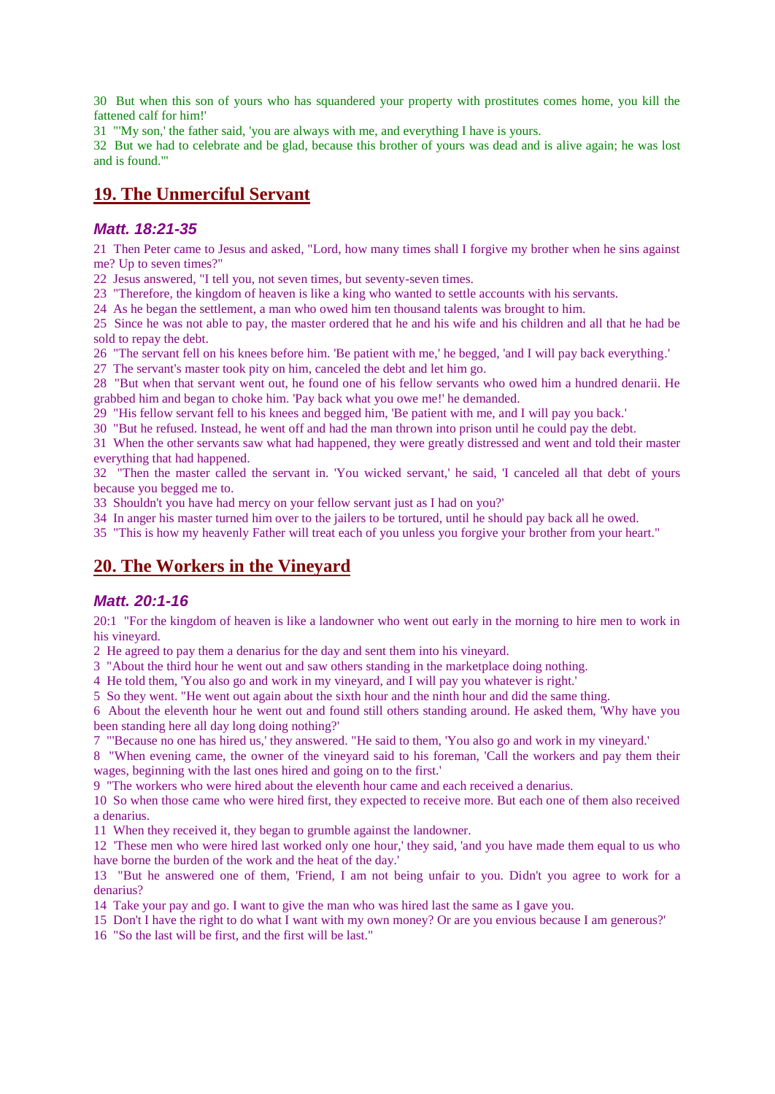30 But when this son of yours who has squandered your property with prostitutes comes home, you kill the fattened calf for him!'

31 "'My son,' the father said, 'you are always with me, and everything I have is yours.

32 But we had to celebrate and be glad, because this brother of yours was dead and is alive again; he was lost and is found.'"

## **19. The Unmerciful Servant**

#### *Matt. 18:21-35*

21 Then Peter came to Jesus and asked, "Lord, how many times shall I forgive my brother when he sins against me? Up to seven times?"

22 Jesus answered, "I tell you, not seven times, but seventy-seven times.

23 "Therefore, the kingdom of heaven is like a king who wanted to settle accounts with his servants.

24 As he began the settlement, a man who owed him ten thousand talents was brought to him.

25 Since he was not able to pay, the master ordered that he and his wife and his children and all that he had be sold to repay the debt.

26 "The servant fell on his knees before him. 'Be patient with me,' he begged, 'and I will pay back everything.'

27 The servant's master took pity on him, canceled the debt and let him go.

28 "But when that servant went out, he found one of his fellow servants who owed him a hundred denarii. He grabbed him and began to choke him. 'Pay back what you owe me!' he demanded.

29 "His fellow servant fell to his knees and begged him, 'Be patient with me, and I will pay you back.'

30 "But he refused. Instead, he went off and had the man thrown into prison until he could pay the debt.

31 When the other servants saw what had happened, they were greatly distressed and went and told their master everything that had happened.

32 "Then the master called the servant in. 'You wicked servant,' he said, 'I canceled all that debt of yours because you begged me to.

33 Shouldn't you have had mercy on your fellow servant just as I had on you?'

34 In anger his master turned him over to the jailers to be tortured, until he should pay back all he owed.

35 "This is how my heavenly Father will treat each of you unless you forgive your brother from your heart."

## **20. The Workers in the Vineyard**

### *Matt. 20:1-16*

20:1 "For the kingdom of heaven is like a landowner who went out early in the morning to hire men to work in his vineyard.

2 He agreed to pay them a denarius for the day and sent them into his vineyard.

3 "About the third hour he went out and saw others standing in the marketplace doing nothing.

4 He told them, 'You also go and work in my vineyard, and I will pay you whatever is right.'

5 So they went. "He went out again about the sixth hour and the ninth hour and did the same thing.

6 About the eleventh hour he went out and found still others standing around. He asked them, 'Why have you been standing here all day long doing nothing?'

7 "'Because no one has hired us,' they answered. "He said to them, 'You also go and work in my vineyard.'

8 "When evening came, the owner of the vineyard said to his foreman, 'Call the workers and pay them their wages, beginning with the last ones hired and going on to the first.'

9 "The workers who were hired about the eleventh hour came and each received a denarius.

10 So when those came who were hired first, they expected to receive more. But each one of them also received a denarius.

11 When they received it, they began to grumble against the landowner.

12 'These men who were hired last worked only one hour,' they said, 'and you have made them equal to us who have borne the burden of the work and the heat of the day.'

13 "But he answered one of them, 'Friend, I am not being unfair to you. Didn't you agree to work for a denarius?

14 Take your pay and go. I want to give the man who was hired last the same as I gave you.

15 Don't I have the right to do what I want with my own money? Or are you envious because I am generous?'

16 "So the last will be first, and the first will be last."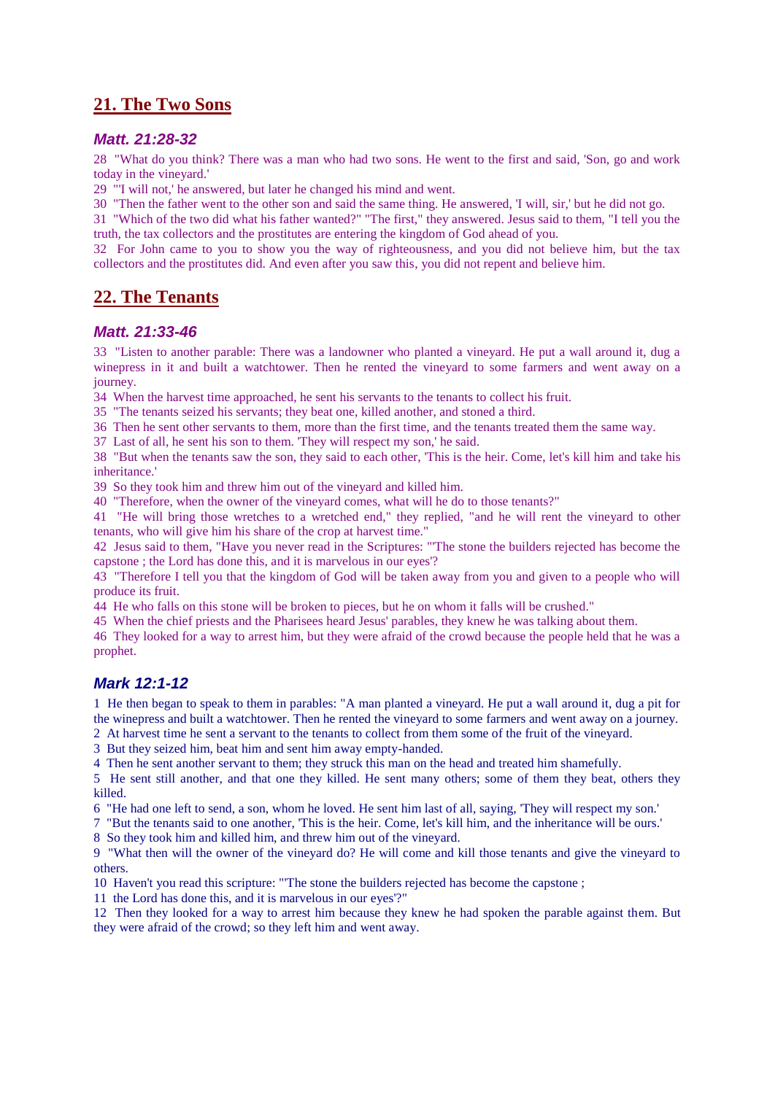## **21. The Two Sons**

#### *Matt. 21:28-32*

28 "What do you think? There was a man who had two sons. He went to the first and said, 'Son, go and work today in the vineyard.'

29 "'I will not,' he answered, but later he changed his mind and went.

30 "Then the father went to the other son and said the same thing. He answered, 'I will, sir,' but he did not go.

31 "Which of the two did what his father wanted?" "The first," they answered. Jesus said to them, "I tell you the truth, the tax collectors and the prostitutes are entering the kingdom of God ahead of you.

32 For John came to you to show you the way of righteousness, and you did not believe him, but the tax collectors and the prostitutes did. And even after you saw this, you did not repent and believe him.

## **22. The Tenants**

#### *Matt. 21:33-46*

33 "Listen to another parable: There was a landowner who planted a vineyard. He put a wall around it, dug a winepress in it and built a watchtower. Then he rented the vineyard to some farmers and went away on a journey.

34 When the harvest time approached, he sent his servants to the tenants to collect his fruit.

35 "The tenants seized his servants; they beat one, killed another, and stoned a third.

36 Then he sent other servants to them, more than the first time, and the tenants treated them the same way.

37 Last of all, he sent his son to them. 'They will respect my son,' he said.

38 "But when the tenants saw the son, they said to each other, 'This is the heir. Come, let's kill him and take his inheritance.'

39 So they took him and threw him out of the vineyard and killed him.

40 "Therefore, when the owner of the vineyard comes, what will he do to those tenants?"

41 "He will bring those wretches to a wretched end," they replied, "and he will rent the vineyard to other tenants, who will give him his share of the crop at harvest time."

42 Jesus said to them, "Have you never read in the Scriptures: "'The stone the builders rejected has become the capstone ; the Lord has done this, and it is marvelous in our eyes'?

43 "Therefore I tell you that the kingdom of God will be taken away from you and given to a people who will produce its fruit.

44 He who falls on this stone will be broken to pieces, but he on whom it falls will be crushed."

45 When the chief priests and the Pharisees heard Jesus' parables, they knew he was talking about them.

46 They looked for a way to arrest him, but they were afraid of the crowd because the people held that he was a prophet.

### *Mark 12:1-12*

1 He then began to speak to them in parables: "A man planted a vineyard. He put a wall around it, dug a pit for the winepress and built a watchtower. Then he rented the vineyard to some farmers and went away on a journey.

2 At harvest time he sent a servant to the tenants to collect from them some of the fruit of the vineyard.

3 But they seized him, beat him and sent him away empty-handed.

4 Then he sent another servant to them; they struck this man on the head and treated him shamefully.

5 He sent still another, and that one they killed. He sent many others; some of them they beat, others they killed.

6 "He had one left to send, a son, whom he loved. He sent him last of all, saying, 'They will respect my son.'

7 "But the tenants said to one another, 'This is the heir. Come, let's kill him, and the inheritance will be ours.'

8 So they took him and killed him, and threw him out of the vineyard.

9 "What then will the owner of the vineyard do? He will come and kill those tenants and give the vineyard to others.

10 Haven't you read this scripture: "'The stone the builders rejected has become the capstone ;

11 the Lord has done this, and it is marvelous in our eyes'?"

12 Then they looked for a way to arrest him because they knew he had spoken the parable against them. But they were afraid of the crowd; so they left him and went away.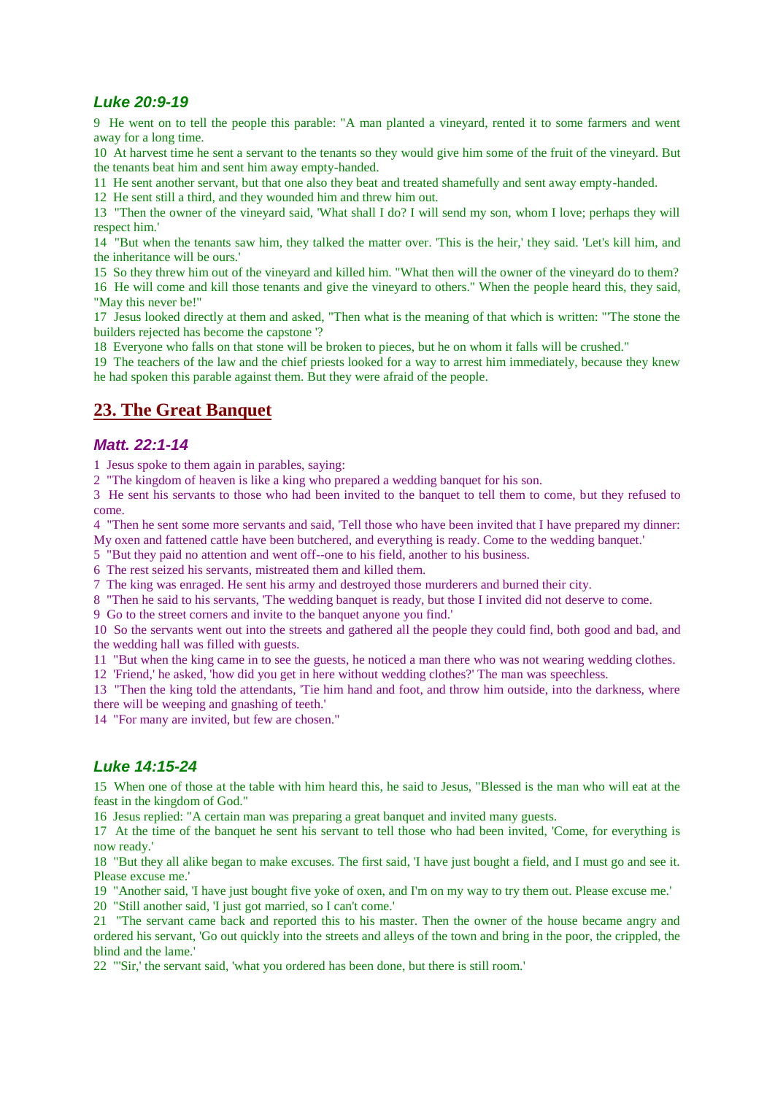### *Luke 20:9-19*

9 He went on to tell the people this parable: "A man planted a vineyard, rented it to some farmers and went away for a long time.

10 At harvest time he sent a servant to the tenants so they would give him some of the fruit of the vineyard. But the tenants beat him and sent him away empty-handed.

11 He sent another servant, but that one also they beat and treated shamefully and sent away empty-handed.

12 He sent still a third, and they wounded him and threw him out.

13 "Then the owner of the vineyard said, 'What shall I do? I will send my son, whom I love; perhaps they will respect him.'

14 "But when the tenants saw him, they talked the matter over. 'This is the heir,' they said. 'Let's kill him, and the inheritance will be ours.'

15 So they threw him out of the vineyard and killed him. "What then will the owner of the vineyard do to them?

16 He will come and kill those tenants and give the vineyard to others." When the people heard this, they said, "May this never be!"

17 Jesus looked directly at them and asked, "Then what is the meaning of that which is written: "'The stone the builders rejected has become the capstone '?

18 Everyone who falls on that stone will be broken to pieces, but he on whom it falls will be crushed."

19 The teachers of the law and the chief priests looked for a way to arrest him immediately, because they knew he had spoken this parable against them. But they were afraid of the people.

### **23. The Great Banquet**

#### *Matt. 22:1-14*

1 Jesus spoke to them again in parables, saying:

2 "The kingdom of heaven is like a king who prepared a wedding banquet for his son.

3 He sent his servants to those who had been invited to the banquet to tell them to come, but they refused to come.

4 "Then he sent some more servants and said, 'Tell those who have been invited that I have prepared my dinner: My oxen and fattened cattle have been butchered, and everything is ready. Come to the wedding banquet.'

5 "But they paid no attention and went off--one to his field, another to his business.

6 The rest seized his servants, mistreated them and killed them.

7 The king was enraged. He sent his army and destroyed those murderers and burned their city.

8 "Then he said to his servants, 'The wedding banquet is ready, but those I invited did not deserve to come.

9 Go to the street corners and invite to the banquet anyone you find.'

10 So the servants went out into the streets and gathered all the people they could find, both good and bad, and the wedding hall was filled with guests.

11 "But when the king came in to see the guests, he noticed a man there who was not wearing wedding clothes.

12 'Friend,' he asked, 'how did you get in here without wedding clothes?' The man was speechless.

13 "Then the king told the attendants, 'Tie him hand and foot, and throw him outside, into the darkness, where there will be weeping and gnashing of teeth.'

14 "For many are invited, but few are chosen."

### *Luke 14:15-24*

15 When one of those at the table with him heard this, he said to Jesus, "Blessed is the man who will eat at the feast in the kingdom of God."

16 Jesus replied: "A certain man was preparing a great banquet and invited many guests.

17 At the time of the banquet he sent his servant to tell those who had been invited, 'Come, for everything is now ready.'

18 "But they all alike began to make excuses. The first said, 'I have just bought a field, and I must go and see it. Please excuse me.'

19 "Another said, 'I have just bought five yoke of oxen, and I'm on my way to try them out. Please excuse me.'

20 "Still another said, 'I just got married, so I can't come.'

21 "The servant came back and reported this to his master. Then the owner of the house became angry and ordered his servant, 'Go out quickly into the streets and alleys of the town and bring in the poor, the crippled, the blind and the lame.'

22 "'Sir,' the servant said, 'what you ordered has been done, but there is still room.'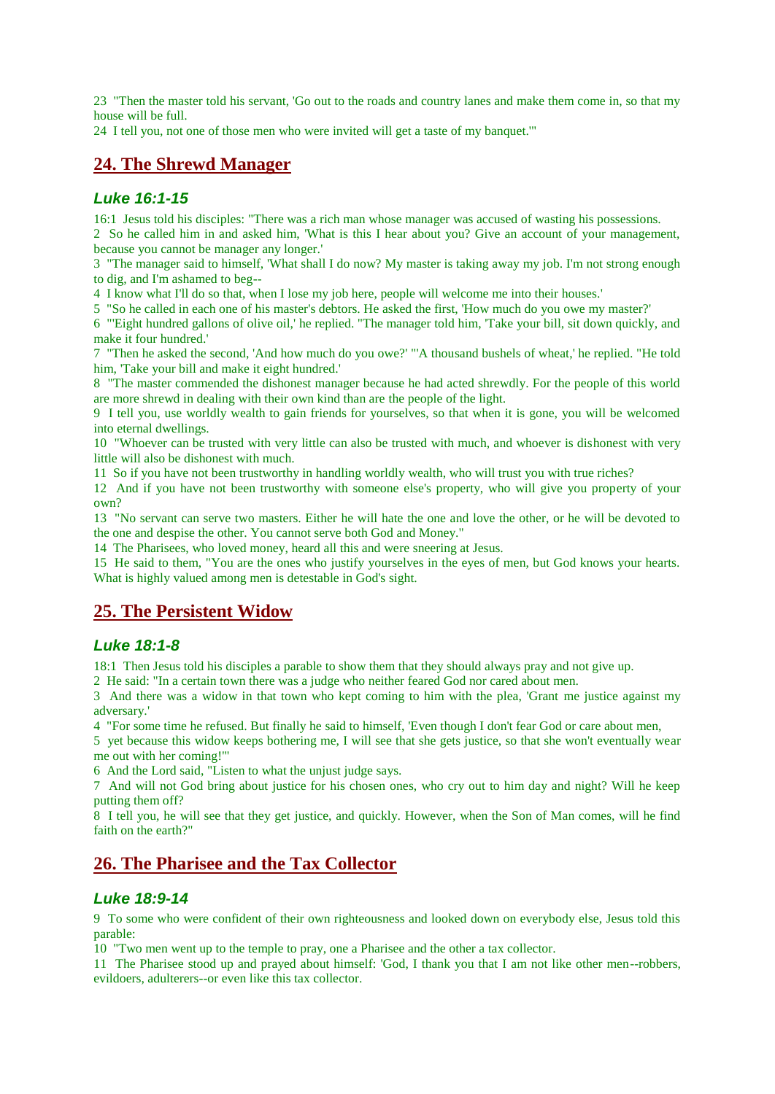23 "Then the master told his servant, 'Go out to the roads and country lanes and make them come in, so that my house will be full.

24 I tell you, not one of those men who were invited will get a taste of my banquet.'"

## **24. The Shrewd Manager**

### *Luke 16:1-15*

16:1 Jesus told his disciples: "There was a rich man whose manager was accused of wasting his possessions.

2 So he called him in and asked him, 'What is this I hear about you? Give an account of your management, because you cannot be manager any longer.'

3 "The manager said to himself, 'What shall I do now? My master is taking away my job. I'm not strong enough to dig, and I'm ashamed to beg--

4 I know what I'll do so that, when I lose my job here, people will welcome me into their houses.'

5 "So he called in each one of his master's debtors. He asked the first, 'How much do you owe my master?'

6 "'Eight hundred gallons of olive oil,' he replied. "The manager told him, 'Take your bill, sit down quickly, and make it four hundred.'

7 "Then he asked the second, 'And how much do you owe?' "'A thousand bushels of wheat,' he replied. "He told him, 'Take your bill and make it eight hundred.'

8 "The master commended the dishonest manager because he had acted shrewdly. For the people of this world are more shrewd in dealing with their own kind than are the people of the light.

9 I tell you, use worldly wealth to gain friends for yourselves, so that when it is gone, you will be welcomed into eternal dwellings.

10 "Whoever can be trusted with very little can also be trusted with much, and whoever is dishonest with very little will also be dishonest with much.

11 So if you have not been trustworthy in handling worldly wealth, who will trust you with true riches?

12 And if you have not been trustworthy with someone else's property, who will give you property of your own?

13 "No servant can serve two masters. Either he will hate the one and love the other, or he will be devoted to the one and despise the other. You cannot serve both God and Money."

14 The Pharisees, who loved money, heard all this and were sneering at Jesus.

15 He said to them, "You are the ones who justify yourselves in the eyes of men, but God knows your hearts. What is highly valued among men is detestable in God's sight.

## **25. The Persistent Widow**

### *Luke 18:1-8*

18:1 Then Jesus told his disciples a parable to show them that they should always pray and not give up.

2 He said: "In a certain town there was a judge who neither feared God nor cared about men.

3 And there was a widow in that town who kept coming to him with the plea, 'Grant me justice against my adversary.'

4 "For some time he refused. But finally he said to himself, 'Even though I don't fear God or care about men,

5 yet because this widow keeps bothering me, I will see that she gets justice, so that she won't eventually wear me out with her coming!'"

6 And the Lord said, "Listen to what the unjust judge says.

7 And will not God bring about justice for his chosen ones, who cry out to him day and night? Will he keep putting them off?

8 I tell you, he will see that they get justice, and quickly. However, when the Son of Man comes, will he find faith on the earth?"

## **26. The Pharisee and the Tax Collector**

### *Luke 18:9-14*

9 To some who were confident of their own righteousness and looked down on everybody else, Jesus told this parable:

10 "Two men went up to the temple to pray, one a Pharisee and the other a tax collector.

11 The Pharisee stood up and prayed about himself: 'God, I thank you that I am not like other men--robbers, evildoers, adulterers--or even like this tax collector.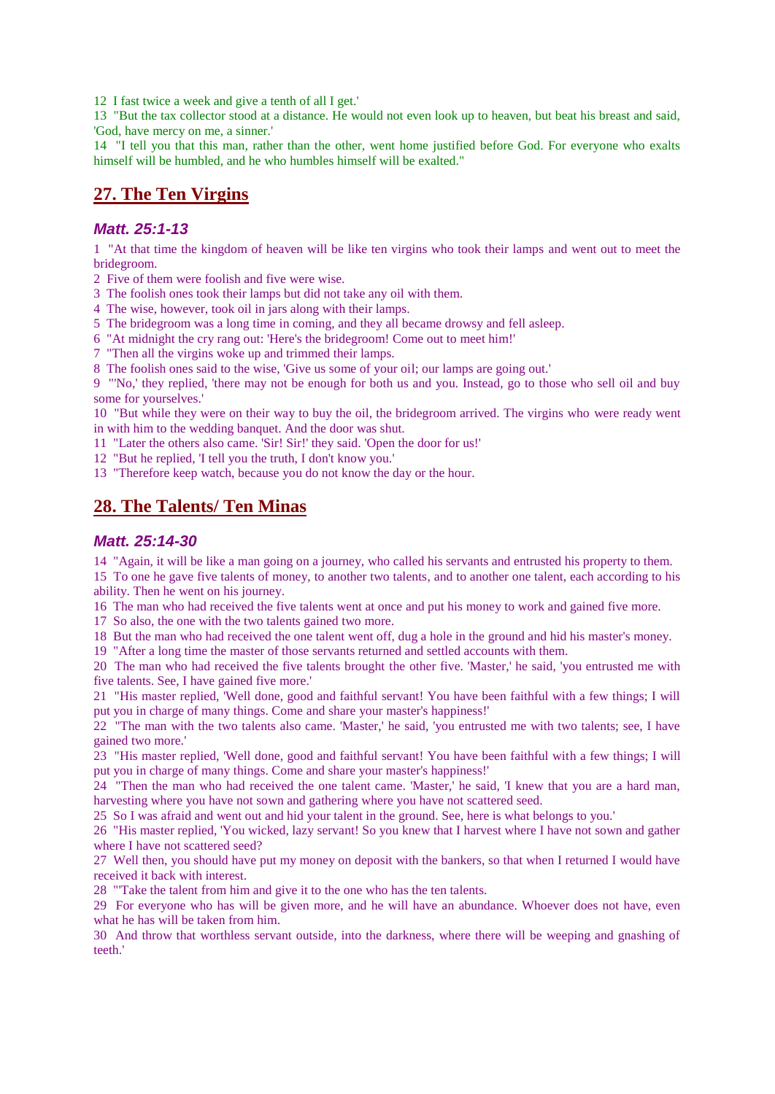12 I fast twice a week and give a tenth of all I get.'

13 "But the tax collector stood at a distance. He would not even look up to heaven, but beat his breast and said, 'God, have mercy on me, a sinner.'

14 "I tell you that this man, rather than the other, went home justified before God. For everyone who exalts himself will be humbled, and he who humbles himself will be exalted."

### **27. The Ten Virgins**

#### *Matt. 25:1-13*

1 "At that time the kingdom of heaven will be like ten virgins who took their lamps and went out to meet the bridegroom.

2 Five of them were foolish and five were wise.

- 3 The foolish ones took their lamps but did not take any oil with them.
- 4 The wise, however, took oil in jars along with their lamps.
- 5 The bridegroom was a long time in coming, and they all became drowsy and fell asleep.
- 6 "At midnight the cry rang out: 'Here's the bridegroom! Come out to meet him!'
- 7 "Then all the virgins woke up and trimmed their lamps.

8 The foolish ones said to the wise, 'Give us some of your oil; our lamps are going out.'

9 "'No,' they replied, 'there may not be enough for both us and you. Instead, go to those who sell oil and buy some for yourselves.'

10 "But while they were on their way to buy the oil, the bridegroom arrived. The virgins who were ready went in with him to the wedding banquet. And the door was shut.

- 11 "Later the others also came. 'Sir! Sir!' they said. 'Open the door for us!'
- 12 "But he replied, 'I tell you the truth, I don't know you.'
- 13 "Therefore keep watch, because you do not know the day or the hour.

### **28. The Talents/ Ten Minas**

#### *Matt. 25:14-30*

14 "Again, it will be like a man going on a journey, who called his servants and entrusted his property to them.

15 To one he gave five talents of money, to another two talents, and to another one talent, each according to his ability. Then he went on his journey.

16 The man who had received the five talents went at once and put his money to work and gained five more.

17 So also, the one with the two talents gained two more.

18 But the man who had received the one talent went off, dug a hole in the ground and hid his master's money.

19 "After a long time the master of those servants returned and settled accounts with them.

20 The man who had received the five talents brought the other five. 'Master,' he said, 'you entrusted me with five talents. See, I have gained five more.'

21 "His master replied, 'Well done, good and faithful servant! You have been faithful with a few things; I will put you in charge of many things. Come and share your master's happiness!'

22 "The man with the two talents also came. 'Master,' he said, 'you entrusted me with two talents; see, I have gained two more.'

23 "His master replied, 'Well done, good and faithful servant! You have been faithful with a few things; I will put you in charge of many things. Come and share your master's happiness!'

24 "Then the man who had received the one talent came. 'Master,' he said, 'I knew that you are a hard man, harvesting where you have not sown and gathering where you have not scattered seed.

25 So I was afraid and went out and hid your talent in the ground. See, here is what belongs to you.'

26 "His master replied, 'You wicked, lazy servant! So you knew that I harvest where I have not sown and gather where I have not scattered seed?

27 Well then, you should have put my money on deposit with the bankers, so that when I returned I would have received it back with interest.

28 "'Take the talent from him and give it to the one who has the ten talents.

29 For everyone who has will be given more, and he will have an abundance. Whoever does not have, even what he has will be taken from him.

30 And throw that worthless servant outside, into the darkness, where there will be weeping and gnashing of teeth.'